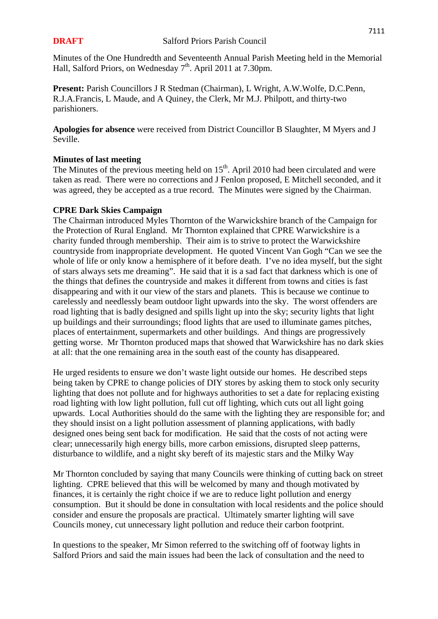Minutes of the One Hundredth and Seventeenth Annual Parish Meeting held in the Memorial Hall, Salford Priors, on Wednesday 7<sup>th</sup>. April 2011 at 7.30pm.

**Present:** Parish Councillors J R Stedman (Chairman), L Wright, A.W.Wolfe, D.C.Penn, R.J.A.Francis, L Maude, and A Quiney, the Clerk, Mr M.J. Philpott, and thirty-two parishioners.

**Apologies for absence** were received from District Councillor B Slaughter, M Myers and J Seville.

# **Minutes of last meeting**

The Minutes of the previous meeting held on  $15<sup>th</sup>$ . April 2010 had been circulated and were taken as read. There were no corrections and J Fenlon proposed, E Mitchell seconded, and it was agreed, they be accepted as a true record. The Minutes were signed by the Chairman.

### **CPRE Dark Skies Campaign**

The Chairman introduced Myles Thornton of the Warwickshire branch of the Campaign for the Protection of Rural England. Mr Thornton explained that CPRE Warwickshire is a charity funded through membership. Their aim is to strive to protect the Warwickshire countryside from inappropriate development. He quoted Vincent Van Gogh "Can we see the whole of life or only know a hemisphere of it before death. I've no idea myself, but the sight of stars always sets me dreaming". He said that it is a sad fact that darkness which is one of the things that defines the countryside and makes it different from towns and cities is fast disappearing and with it our view of the stars and planets. This is because we continue to carelessly and needlessly beam outdoor light upwards into the sky. The worst offenders are road lighting that is badly designed and spills light up into the sky; security lights that light up buildings and their surroundings; flood lights that are used to illuminate games pitches, places of entertainment, supermarkets and other buildings. And things are progressively getting worse. Mr Thornton produced maps that showed that Warwickshire has no dark skies at all: that the one remaining area in the south east of the county has disappeared.

He urged residents to ensure we don't waste light outside our homes. He described steps being taken by CPRE to change policies of DIY stores by asking them to stock only security lighting that does not pollute and for highways authorities to set a date for replacing existing road lighting with low light pollution, full cut off lighting, which cuts out all light going upwards. Local Authorities should do the same with the lighting they are responsible for; and they should insist on a light pollution assessment of planning applications, with badly designed ones being sent back for modification. He said that the costs of not acting were clear; unnecessarily high energy bills, more carbon emissions, disrupted sleep patterns, disturbance to wildlife, and a night sky bereft of its majestic stars and the Milky Way

Mr Thornton concluded by saying that many Councils were thinking of cutting back on street lighting. CPRE believed that this will be welcomed by many and though motivated by finances, it is certainly the right choice if we are to reduce light pollution and energy consumption. But it should be done in consultation with local residents and the police should consider and ensure the proposals are practical. Ultimately smarter lighting will save Councils money, cut unnecessary light pollution and reduce their carbon footprint.

In questions to the speaker, Mr Simon referred to the switching off of footway lights in Salford Priors and said the main issues had been the lack of consultation and the need to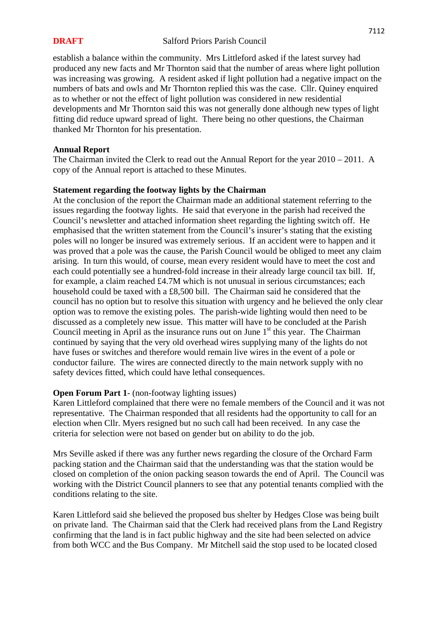establish a balance within the community. Mrs Littleford asked if the latest survey had produced any new facts and Mr Thornton said that the number of areas where light pollution was increasing was growing. A resident asked if light pollution had a negative impact on the numbers of bats and owls and Mr Thornton replied this was the case. Cllr. Quiney enquired as to whether or not the effect of light pollution was considered in new residential developments and Mr Thornton said this was not generally done although new types of light fitting did reduce upward spread of light. There being no other questions, the Chairman thanked Mr Thornton for his presentation.

### **Annual Report**

The Chairman invited the Clerk to read out the Annual Report for the year 2010 – 2011. A copy of the Annual report is attached to these Minutes.

## **Statement regarding the footway lights by the Chairman**

At the conclusion of the report the Chairman made an additional statement referring to the issues regarding the footway lights. He said that everyone in the parish had received the Council's newsletter and attached information sheet regarding the lighting switch off. He emphasised that the written statement from the Council's insurer's stating that the existing poles will no longer be insured was extremely serious. If an accident were to happen and it was proved that a pole was the cause, the Parish Council would be obliged to meet any claim arising. In turn this would, of course, mean every resident would have to meet the cost and each could potentially see a hundred-fold increase in their already large council tax bill. If, for example, a claim reached £4.7M which is not unusual in serious circumstances; each household could be taxed with a £8,500 bill. The Chairman said he considered that the council has no option but to resolve this situation with urgency and he believed the only clear option was to remove the existing poles. The parish-wide lighting would then need to be discussed as a completely new issue. This matter will have to be concluded at the Parish Council meeting in April as the insurance runs out on June  $1<sup>st</sup>$  this year. The Chairman continued by saying that the very old overhead wires supplying many of the lights do not have fuses or switches and therefore would remain live wires in the event of a pole or conductor failure. The wires are connected directly to the main network supply with no safety devices fitted, which could have lethal consequences.

### **Open Forum Part 1**- (non-footway lighting issues)

Karen Littleford complained that there were no female members of the Council and it was not representative. The Chairman responded that all residents had the opportunity to call for an election when Cllr. Myers resigned but no such call had been received. In any case the criteria for selection were not based on gender but on ability to do the job.

Mrs Seville asked if there was any further news regarding the closure of the Orchard Farm packing station and the Chairman said that the understanding was that the station would be closed on completion of the onion packing season towards the end of April. The Council was working with the District Council planners to see that any potential tenants complied with the conditions relating to the site.

Karen Littleford said she believed the proposed bus shelter by Hedges Close was being built on private land. The Chairman said that the Clerk had received plans from the Land Registry confirming that the land is in fact public highway and the site had been selected on advice from both WCC and the Bus Company. Mr Mitchell said the stop used to be located closed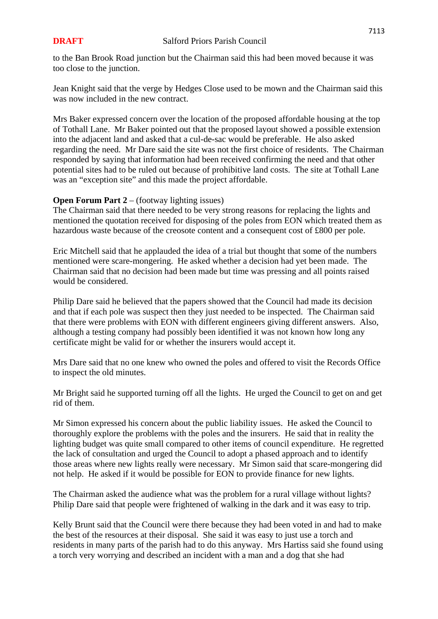to the Ban Brook Road junction but the Chairman said this had been moved because it was too close to the junction.

Jean Knight said that the verge by Hedges Close used to be mown and the Chairman said this was now included in the new contract.

Mrs Baker expressed concern over the location of the proposed affordable housing at the top of Tothall Lane. Mr Baker pointed out that the proposed layout showed a possible extension into the adjacent land and asked that a cul-de-sac would be preferable. He also asked regarding the need. Mr Dare said the site was not the first choice of residents. The Chairman responded by saying that information had been received confirming the need and that other potential sites had to be ruled out because of prohibitive land costs. The site at Tothall Lane was an "exception site" and this made the project affordable.

# **Open Forum Part 2** – (footway lighting issues)

The Chairman said that there needed to be very strong reasons for replacing the lights and mentioned the quotation received for disposing of the poles from EON which treated them as hazardous waste because of the creosote content and a consequent cost of £800 per pole.

Eric Mitchell said that he applauded the idea of a trial but thought that some of the numbers mentioned were scare-mongering. He asked whether a decision had yet been made. The Chairman said that no decision had been made but time was pressing and all points raised would be considered.

Philip Dare said he believed that the papers showed that the Council had made its decision and that if each pole was suspect then they just needed to be inspected. The Chairman said that there were problems with EON with different engineers giving different answers. Also, although a testing company had possibly been identified it was not known how long any certificate might be valid for or whether the insurers would accept it.

Mrs Dare said that no one knew who owned the poles and offered to visit the Records Office to inspect the old minutes.

Mr Bright said he supported turning off all the lights. He urged the Council to get on and get rid of them.

Mr Simon expressed his concern about the public liability issues. He asked the Council to thoroughly explore the problems with the poles and the insurers. He said that in reality the lighting budget was quite small compared to other items of council expenditure. He regretted the lack of consultation and urged the Council to adopt a phased approach and to identify those areas where new lights really were necessary. Mr Simon said that scare-mongering did not help. He asked if it would be possible for EON to provide finance for new lights.

The Chairman asked the audience what was the problem for a rural village without lights? Philip Dare said that people were frightened of walking in the dark and it was easy to trip.

Kelly Brunt said that the Council were there because they had been voted in and had to make the best of the resources at their disposal. She said it was easy to just use a torch and residents in many parts of the parish had to do this anyway. Mrs Hartiss said she found using a torch very worrying and described an incident with a man and a dog that she had